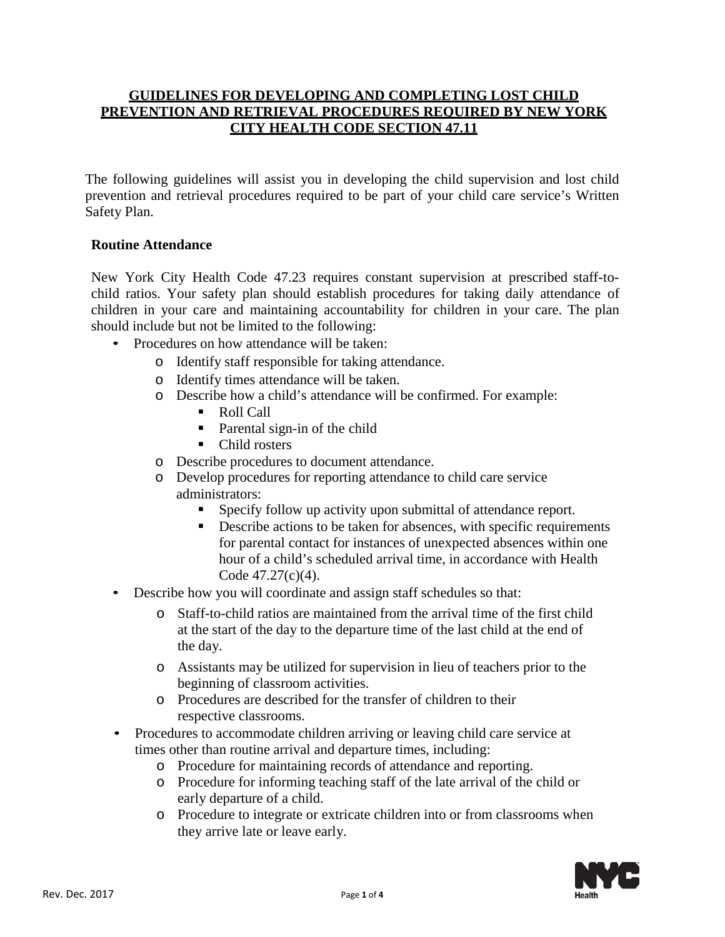## **GUIDELINES FOR DEVELOPING AND COMPLETING LOST CHILD PREVENTION AND RETRIEVAL PROCEDURES REQUIRED BY NEW YORK CITY HEALTH CODE SECTION 47.11**

The following guidelines will assist you in developing the child supervision and lost child prevention and retrieval procedures required to be part of your child care service's Written Safety Plan.

## **Routine Attendance**

New York City Health Code 47.23 requires constant supervision at prescribed staff-tochild ratios. Your safety plan should establish procedures for taking daily attendance of children in your care and maintaining accountability for children in your care. The plan should include but not be limited to the following:

- Procedures on how attendance will be taken:
	- o Identify staff responsible for taking attendance.
	- o Identify times attendance will be taken.
	- o Describe how a child's attendance will be confirmed. For example:
		- Roll Call
		- Parental sign-in of the child
		- Child rosters
	- o Describe procedures to document attendance.
	- o Develop procedures for reporting attendance to child care service administrators:
		- Specify follow up activity upon submittal of attendance report.
		- Describe actions to be taken for absences, with specific requirements for parental contact for instances of unexpected absences within one hour of a child's scheduled arrival time, in accordance with Health Code 47.27(c)(4).
- Describe how you will coordinate and assign staff schedules so that:
	- o Staff-to-child ratios are maintained from the arrival time of the first child at the start of the day to the departure time of the last child at the end of the day.
	- o Assistants may be utilized for supervision in lieu of teachers prior to the beginning of classroom activities.
	- o Procedures are described for the transfer of children to their respective classrooms.
- Procedures to accommodate children arriving or leaving child care service at times other than routine arrival and departure times, including:
	- o Procedure for maintaining records of attendance and reporting.
	- o Procedure for informing teaching staff of the late arrival of the child or early departure of a child.
	- o Procedure to integrate or extricate children into or from classrooms when they arrive late or leave early.

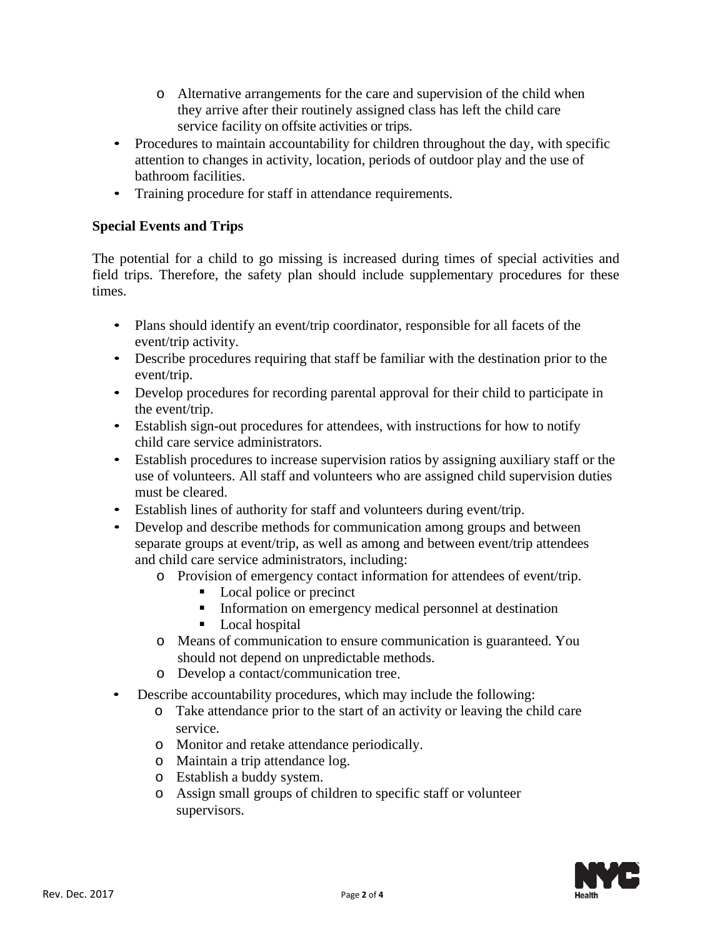- o Alternative arrangements for the care and supervision of the child when they arrive after their routinely assigned class has left the child care service facility on offsite activities or trips.
- Procedures to maintain accountability for children throughout the day, with specific attention to changes in activity, location, periods of outdoor play and the use of bathroom facilities.
- Training procedure for staff in attendance requirements.

## **Special Events and Trips**

The potential for a child to go missing is increased during times of special activities and field trips. Therefore, the safety plan should include supplementary procedures for these times.

- Plans should identify an event/trip coordinator, responsible for all facets of the event/trip activity.
- Describe procedures requiring that staff be familiar with the destination prior to the event/trip.
- Develop procedures for recording parental approval for their child to participate in the event/trip.
- Establish sign-out procedures for attendees, with instructions for how to notify child care service administrators.
- Establish procedures to increase supervision ratios by assigning auxiliary staff or the use of volunteers. All staff and volunteers who are assigned child supervision duties must be cleared.
- Establish lines of authority for staff and volunteers during event/trip.
- Develop and describe methods for communication among groups and between separate groups at event/trip, as well as among and between event/trip attendees and child care service administrators, including:
	- o Provision of emergency contact information for attendees of event/trip.
		- Local police or precinct
		- Information on emergency medical personnel at destination
		- **Local hospital**
	- o Means of communication to ensure communication is guaranteed. You should not depend on unpredictable methods.
	- o Develop a contact/communication tree.
- Describe accountability procedures, which may include the following:
	- o Take attendance prior to the start of an activity or leaving the child care service.
	- o Monitor and retake attendance periodically.
	- o Maintain a trip attendance log.
	- o Establish a buddy system.
	- o Assign small groups of children to specific staff or volunteer supervisors.

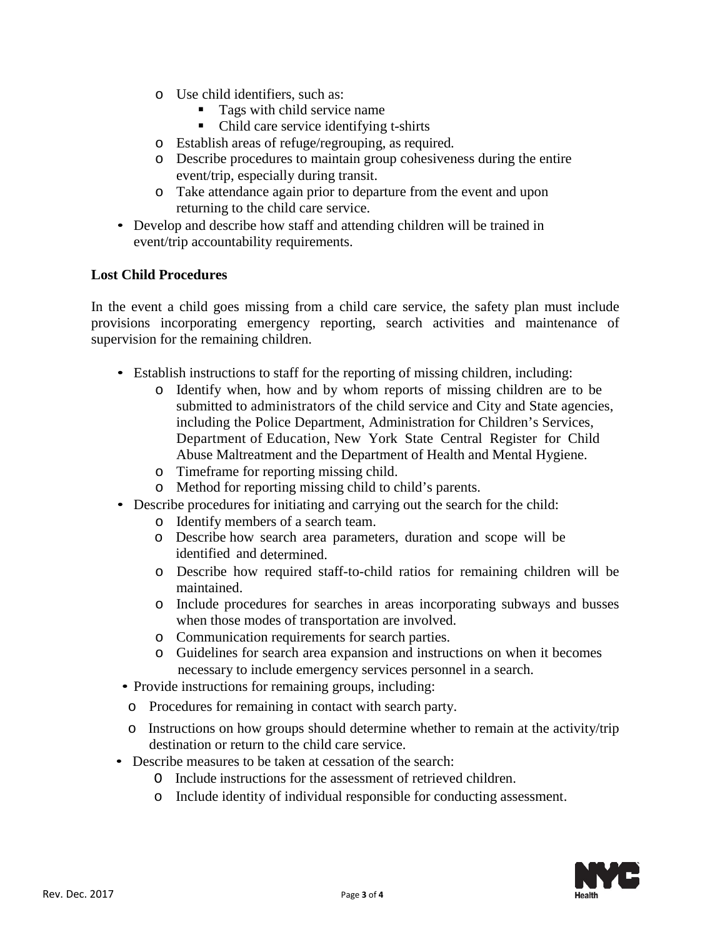- o Use child identifiers, such as:
	- Tags with child service name
	- Child care service identifying t-shirts
- o Establish areas of refuge/regrouping, as required.
- o Describe procedures to maintain group cohesiveness during the entire event/trip, especially during transit.
- o Take attendance again prior to departure from the event and upon returning to the child care service.
- Develop and describe how staff and attending children will be trained in event/trip accountability requirements.

## **Lost Child Procedures**

In the event a child goes missing from a child care service, the safety plan must include provisions incorporating emergency reporting, search activities and maintenance of supervision for the remaining children.

- Establish instructions to staff for the reporting of missing children, including:
	- o Identify when, how and by whom reports of missing children are to be submitted to administrators of the child service and City and State agencies, including the Police Department, Administration for Children's Services, Department of Education, New York State Central Register for Child Abuse Maltreatment and the Department of Health and Mental Hygiene.
	- o Timeframe for reporting missing child.
	- o Method for reporting missing child to child's parents.
- Describe procedures for initiating and carrying out the search for the child:
	- o Identify members of a search team.
	- o Describe how search area parameters, duration and scope will be identified and determined.
	- o Describe how required staff-to-child ratios for remaining children will be maintained.
	- o Include procedures for searches in areas incorporating subways and busses when those modes of transportation are involved.
	- o Communication requirements for search parties.
	- o Guidelines for search area expansion and instructions on when it becomes necessary to include emergency services personnel in a search.
- Provide instructions for remaining groups, including:
- o Procedures for remaining in contact with search party.
- o Instructions on how groups should determine whether to remain at the activity/trip destination or return to the child care service.
- Describe measures to be taken at cessation of the search:
	- O Include instructions for the assessment of retrieved children.
	- o Include identity of individual responsible for conducting assessment.